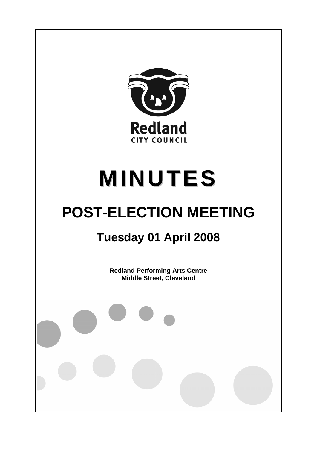

# **MINUTES**

## **POST-ELECTION MEETING**

### **Tuesday 01 April 2008**

**Redland Performing Arts Centre Middle Street, Cleveland**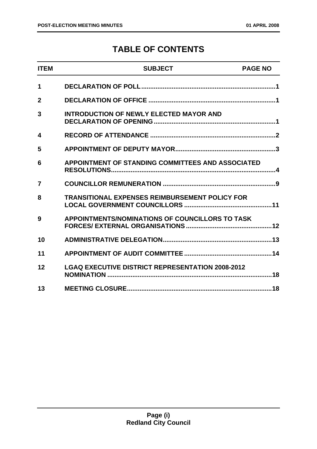#### **TABLE OF CONTENTS**

| <b>ITEM</b>    | <b>SUBJECT</b>                                          | <b>PAGE NO</b> |
|----------------|---------------------------------------------------------|----------------|
| 1              |                                                         |                |
| $\overline{2}$ |                                                         |                |
| 3              | <b>INTRODUCTION OF NEWLY ELECTED MAYOR AND</b>          |                |
| 4              |                                                         |                |
| 5              |                                                         |                |
| 6              | APPOINTMENT OF STANDING COMMITTEES AND ASSOCIATED       |                |
| 7              |                                                         |                |
| 8              | <b>TRANSITIONAL EXPENSES REIMBURSEMENT POLICY FOR</b>   |                |
| 9              | <b>APPOINTMENTS/NOMINATIONS OF COUNCILLORS TO TASK</b>  |                |
| 10             |                                                         |                |
| 11             |                                                         |                |
| 12             | <b>LGAQ EXECUTIVE DISTRICT REPRESENTATION 2008-2012</b> |                |
| 13             |                                                         |                |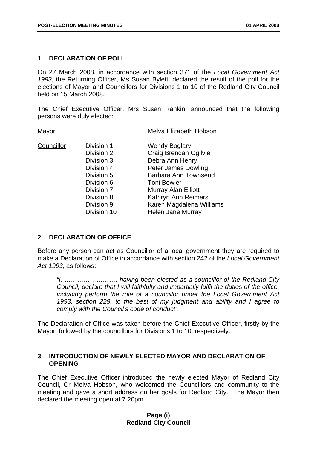#### **1 DECLARATION OF POLL**

On 27 March 2008, in accordance with section 371 of the *Local Government Act 1993*, the Returning Officer, Ms Susan Bylett, declared the result of the poll for the elections of Mayor and Councillors for Divisions 1 to 10 of the Redland City Council held on 15 March 2008.

The Chief Executive Officer, Mrs Susan Rankin, announced that the following persons were duly elected:

Mayor Mayor Melva Elizabeth Hobson

Division 6 Toni Bowler

Councillor Division 1 Wendy Boglary Division 2 Craig Brendan Ogilvie Division 3 Debra Ann Henry Division 4 Peter James Dowling Division 5 Barbara Ann Townsend Division 7 Murray Alan Elliott Division 8 Kathryn Ann Reimers Division 9 Karen Magdalena Williams Division 10 Helen Jane Murray

#### **2 DECLARATION OF OFFICE**

Before any person can act as Councillor of a local government they are required to make a Declaration of Office in accordance with section 242 of the *Local Government Act 1993*, as follows:

*"I, ……………………, having been elected as a councillor of the Redland City Council, declare that I will faithfully and impartially fulfil the duties of the office, including perform the role of a councillor under the Local Government Act 1993, section 229, to the best of my judgment and ability and I agree to comply with the Council's code of conduct".* 

The Declaration of Office was taken before the Chief Executive Officer, firstly by the Mayor, followed by the councillors for Divisions 1 to 10, respectively.

#### **3 INTRODUCTION OF NEWLY ELECTED MAYOR AND DECLARATION OF OPENING**

The Chief Executive Officer introduced the newly elected Mayor of Redland City Council, Cr Melva Hobson, who welcomed the Councillors and community to the meeting and gave a short address on her goals for Redland City. The Mayor then declared the meeting open at 7.20pm.

#### **Page (i) Redland City Council**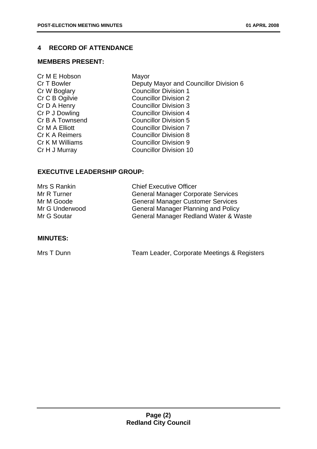#### **4 RECORD OF ATTENDANCE**

#### **MEMBERS PRESENT:**

Cr M E Hobson Mayor

Cr T Bowler **Deputy Mayor and Councillor Division 6** Cr W Boglary Councillor Division 1 Cr C B Ogilvie Councillor Division 2 Cr D A Henry Councillor Division 3 Cr P J Dowling Councillor Division 4 Cr B A Townsend Councillor Division 5 Cr M A Elliott Councillor Division 7 Cr K A Reimers Councillor Division 8 Cr K M Williams Councillor Division 9 Cr H J Murray Councillor Division 10

#### **EXECUTIVE LEADERSHIP GROUP:**

| Mrs S Rankin   | <b>Chief Executive Officer</b>             |
|----------------|--------------------------------------------|
| Mr R Turner    | <b>General Manager Corporate Services</b>  |
| Mr M Goode     | <b>General Manager Customer Services</b>   |
| Mr G Underwood | <b>General Manager Planning and Policy</b> |
| Mr G Soutar    | General Manager Redland Water & Waste      |

#### **MINUTES:**

|  | Mrs T Dunn | Team Leader, Corporate Meetings & Registers |
|--|------------|---------------------------------------------|
|--|------------|---------------------------------------------|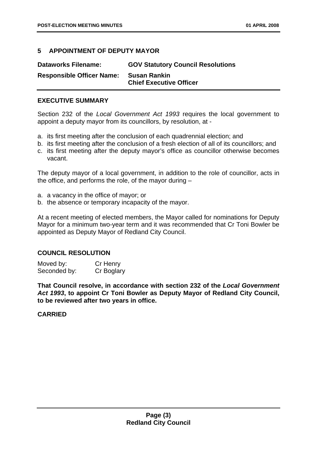#### **5 APPOINTMENT OF DEPUTY MAYOR**

| <b>Dataworks Filename:</b>       | <b>GOV Statutory Council Resolutions</b>              |
|----------------------------------|-------------------------------------------------------|
| <b>Responsible Officer Name:</b> | <b>Susan Rankin</b><br><b>Chief Executive Officer</b> |

#### **EXECUTIVE SUMMARY**

Section 232 of the *Local Government Act 1993* requires the local government to appoint a deputy mayor from its councillors, by resolution, at -

- a. its first meeting after the conclusion of each quadrennial election; and
- b. its first meeting after the conclusion of a fresh election of all of its councillors; and
- c. its first meeting after the deputy mayor's office as councillor otherwise becomes vacant.

The deputy mayor of a local government, in addition to the role of councillor, acts in the office, and performs the role, of the mayor during –

- a. a vacancy in the office of mayor; or
- b. the absence or temporary incapacity of the mayor.

At a recent meeting of elected members, the Mayor called for nominations for Deputy Mayor for a minimum two-year term and it was recommended that Cr Toni Bowler be appointed as Deputy Mayor of Redland City Council.

#### **COUNCIL RESOLUTION**

| Moved by:    | Cr Henry   |
|--------------|------------|
| Seconded by: | Cr Boglary |

**That Council resolve, in accordance with section 232 of the** *Local Government Act 1993***, to appoint Cr Toni Bowler as Deputy Mayor of Redland City Council, to be reviewed after two years in office.**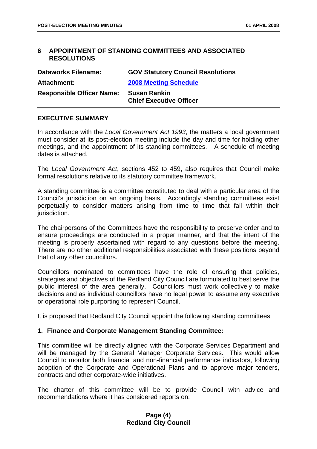#### **6 APPOINTMENT OF STANDING COMMITTEES AND ASSOCIATED RESOLUTIONS**

| <b>Dataworks Filename:</b>       | <b>GOV Statutory Council Resolutions</b>              |
|----------------------------------|-------------------------------------------------------|
| <b>Attachment:</b>               | <b>2008 Meeting Schedule</b>                          |
| <b>Responsible Officer Name:</b> | <b>Susan Rankin</b><br><b>Chief Executive Officer</b> |
|                                  |                                                       |

#### **EXECUTIVE SUMMARY**

In accordance with the *Local Government Act 1993*, the matters a local government must consider at its post-election meeting include the day and time for holding other meetings, and the appointment of its standing committees. A schedule of meeting dates is attached.

The *Local Government Act*, sections 452 to 459, also requires that Council make formal resolutions relative to its statutory committee framework.

A standing committee is a committee constituted to deal with a particular area of the Council's jurisdiction on an ongoing basis. Accordingly standing committees exist perpetually to consider matters arising from time to time that fall within their jurisdiction.

The chairpersons of the Committees have the responsibility to preserve order and to ensure proceedings are conducted in a proper manner, and that the intent of the meeting is properly ascertained with regard to any questions before the meeting. There are no other additional responsibilities associated with these positions beyond that of any other councillors.

Councillors nominated to committees have the role of ensuring that policies, strategies and objectives of the Redland City Council are formulated to best serve the public interest of the area generally. Councillors must work collectively to make decisions and as individual councillors have no legal power to assume any executive or operational role purporting to represent Council.

It is proposed that Redland City Council appoint the following standing committees:

#### **1. Finance and Corporate Management Standing Committee:**

This committee will be directly aligned with the Corporate Services Department and will be managed by the General Manager Corporate Services. This would allow Council to monitor both financial and non-financial performance indicators, following adoption of the Corporate and Operational Plans and to approve major tenders, contracts and other corporate-wide initiatives.

The charter of this committee will be to provide Council with advice and recommendations where it has considered reports on: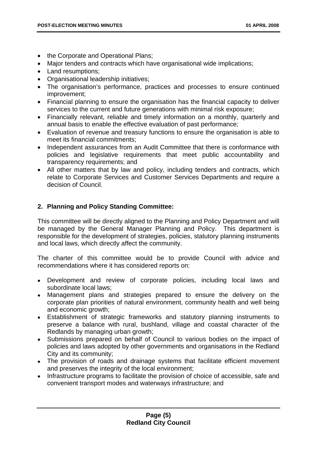- the Corporate and Operational Plans;
- Major tenders and contracts which have organisational wide implications;
- Land resumptions;
- Organisational leadership initiatives;
- The organisation's performance, practices and processes to ensure continued improvement;
- Financial planning to ensure the organisation has the financial capacity to deliver services to the current and future generations with minimal risk exposure;
- Financially relevant, reliable and timely information on a monthly, quarterly and annual basis to enable the effective evaluation of past performance;
- Evaluation of revenue and treasury functions to ensure the organisation is able to meet its financial commitments;
- Independent assurances from an Audit Committee that there is conformance with policies and legislative requirements that meet public accountability and transparency requirements; and
- All other matters that by law and policy, including tenders and contracts, which relate to Corporate Services and Customer Services Departments and require a decision of Council.

#### **2. Planning and Policy Standing Committee:**

This committee will be directly aligned to the Planning and Policy Department and will be managed by the General Manager Planning and Policy. This department is responsible for the development of strategies, policies, statutory planning instruments and local laws, which directly affect the community.

The charter of this committee would be to provide Council with advice and recommendations where it has considered reports on:

- Development and review of corporate policies, including local laws and subordinate local laws;
- Management plans and strategies prepared to ensure the delivery on the corporate plan priorities of natural environment, community health and well being and economic growth;
- Establishment of strategic frameworks and statutory planning instruments to preserve a balance with rural, bushland, village and coastal character of the Redlands by managing urban growth;
- Submissions prepared on behalf of Council to various bodies on the impact of policies and laws adopted by other governments and organisations in the Redland City and its community;
- The provision of roads and drainage systems that facilitate efficient movement and preserves the integrity of the local environment;
- Infrastructure programs to facilitate the provision of choice of accessible, safe and convenient transport modes and waterways infrastructure; and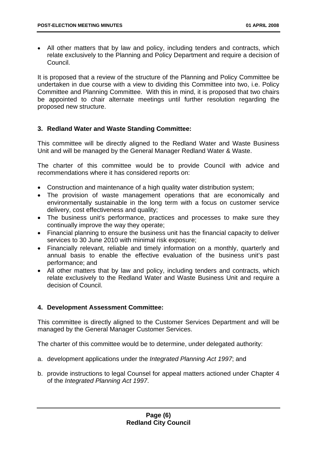• All other matters that by law and policy, including tenders and contracts, which relate exclusively to the Planning and Policy Department and require a decision of Council.

It is proposed that a review of the structure of the Planning and Policy Committee be undertaken in due course with a view to dividing this Committee into two, i.e. Policy Committee and Planning Committee. With this in mind, it is proposed that two chairs be appointed to chair alternate meetings until further resolution regarding the proposed new structure.

#### **3. Redland Water and Waste Standing Committee:**

This committee will be directly aligned to the Redland Water and Waste Business Unit and will be managed by the General Manager Redland Water & Waste.

The charter of this committee would be to provide Council with advice and recommendations where it has considered reports on:

- Construction and maintenance of a high quality water distribution system;
- The provision of waste management operations that are economically and environmentally sustainable in the long term with a focus on customer service delivery, cost effectiveness and quality;
- The business unit's performance, practices and processes to make sure they continually improve the way they operate;
- Financial planning to ensure the business unit has the financial capacity to deliver services to 30 June 2010 with minimal risk exposure;
- Financially relevant, reliable and timely information on a monthly, quarterly and annual basis to enable the effective evaluation of the business unit's past performance; and
- All other matters that by law and policy, including tenders and contracts, which relate exclusively to the Redland Water and Waste Business Unit and require a decision of Council.

#### **4. Development Assessment Committee:**

This committee is directly aligned to the Customer Services Department and will be managed by the General Manager Customer Services.

The charter of this committee would be to determine, under delegated authority:

- a. development applications under the *Integrated Planning Act 1997*; and
- b. provide instructions to legal Counsel for appeal matters actioned under Chapter 4 of the *Integrated Planning Act 1997*.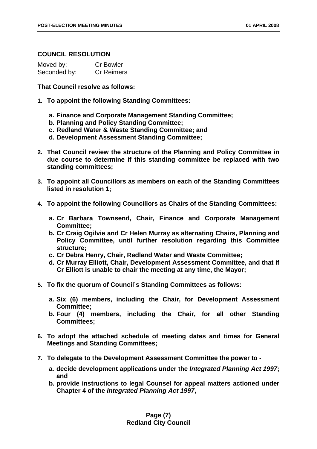#### **COUNCIL RESOLUTION**

| Moved by:    | <b>Cr Bowler</b>  |
|--------------|-------------------|
| Seconded by: | <b>Cr Reimers</b> |

**That Council resolve as follows:** 

- **1. To appoint the following Standing Committees:** 
	- **a. Finance and Corporate Management Standing Committee;**
	- **b. Planning and Policy Standing Committee;**
	- **c. Redland Water & Waste Standing Committee; and**
	- **d. Development Assessment Standing Committee;**
- **2. That Council review the structure of the Planning and Policy Committee in due course to determine if this standing committee be replaced with two standing committees;**
- **3. To appoint all Councillors as members on each of the Standing Committees listed in resolution 1;**
- **4. To appoint the following Councillors as Chairs of the Standing Committees:** 
	- **a. Cr Barbara Townsend, Chair, Finance and Corporate Management Committee;**
	- **b. Cr Craig Ogilvie and Cr Helen Murray as alternating Chairs, Planning and Policy Committee, until further resolution regarding this Committee structure;**
	- **c. Cr Debra Henry, Chair, Redland Water and Waste Committee;**
	- **d. Cr Murray Elliott, Chair, Development Assessment Committee, and that if Cr Elliott is unable to chair the meeting at any time, the Mayor;**
- **5. To fix the quorum of Council's Standing Committees as follows:** 
	- **a. Six (6) members, including the Chair, for Development Assessment Committee;**
	- **b. Four (4) members, including the Chair, for all other Standing Committees;**
- **6. To adopt the attached schedule of meeting dates and times for General Meetings and Standing Committees;**
- **7. To delegate to the Development Assessment Committee the power to** 
	- **a. decide development applications under the** *Integrated Planning Act 1997***; and**
	- **b. provide instructions to legal Counsel for appeal matters actioned under Chapter 4 of the** *Integrated Planning Act 1997***,**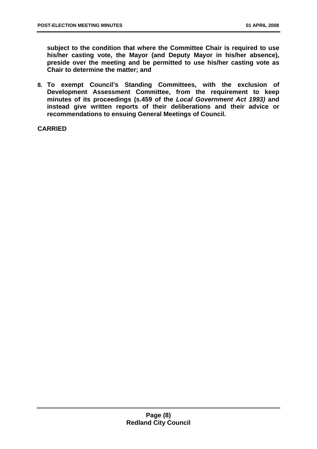**subject to the condition that where the Committee Chair is required to use his/her casting vote, the Mayor (and Deputy Mayor in his/her absence), preside over the meeting and be permitted to use his/her casting vote as Chair to determine the matter; and** 

**8. To exempt Council's Standing Committees, with the exclusion of Development Assessment Committee, from the requirement to keep minutes of its proceedings (s.459 of the** *Local Government Act 1993)* **and instead give written reports of their deliberations and their advice or recommendations to ensuing General Meetings of Council.**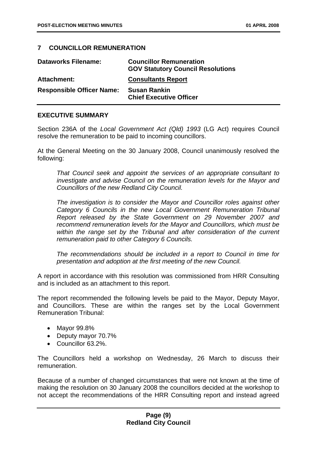#### **7 COUNCILLOR REMUNERATION**

| <b>Dataworks Filename:</b>       | <b>Councillor Remuneration</b><br><b>GOV Statutory Council Resolutions</b> |
|----------------------------------|----------------------------------------------------------------------------|
| Attachment:                      | <b>Consultants Report</b>                                                  |
| <b>Responsible Officer Name:</b> | <b>Susan Rankin</b><br><b>Chief Executive Officer</b>                      |

#### **EXECUTIVE SUMMARY**

Section 236A of the *Local Government Act (Qld) 1993* (LG Act) requires Council resolve the remuneration to be paid to incoming councillors.

At the General Meeting on the 30 January 2008, Council unanimously resolved the following:

*That Council seek and appoint the services of an appropriate consultant to investigate and advise Council on the remuneration levels for the Mayor and Councillors of the new Redland City Council.* 

*The investigation is to consider the Mayor and Councillor roles against other Category 6 Councils in the new Local Government Remuneration Tribunal Report released by the State Government on 29 November 2007 and recommend remuneration levels for the Mayor and Councillors, which must be within the range set by the Tribunal and after consideration of the current remuneration paid to other Category 6 Councils.* 

*The recommendations should be included in a report to Council in time for presentation and adoption at the first meeting of the new Council.* 

A report in accordance with this resolution was commissioned from HRR Consulting and is included as an attachment to this report.

The report recommended the following levels be paid to the Mayor, Deputy Mayor, and Councillors. These are within the ranges set by the Local Government Remuneration Tribunal:

- Mayor 99.8%
- Deputy mayor 70.7%
- Councillor 63.2%.

The Councillors held a workshop on Wednesday, 26 March to discuss their remuneration.

Because of a number of changed circumstances that were not known at the time of making the resolution on 30 January 2008 the councillors decided at the workshop to not accept the recommendations of the HRR Consulting report and instead agreed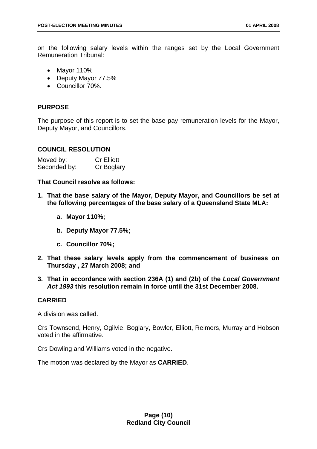on the following salary levels within the ranges set by the Local Government Remuneration Tribunal:

- Mayor 110%
- Deputy Mayor 77.5%
- Councillor 70%.

#### **PURPOSE**

The purpose of this report is to set the base pay remuneration levels for the Mayor, Deputy Mayor, and Councillors.

#### **COUNCIL RESOLUTION**

| Moved by:    | <b>Cr Elliott</b> |
|--------------|-------------------|
| Seconded by: | Cr Boglary        |

**That Council resolve as follows:** 

- **1. That the base salary of the Mayor, Deputy Mayor, and Councillors be set at the following percentages of the base salary of a Queensland State MLA:** 
	- **a. Mayor 110%;**
	- **b. Deputy Mayor 77.5%;**
	- **c. Councillor 70%;**
- **2. That these salary levels apply from the commencement of business on Thursday , 27 March 2008; and**
- **3. That in accordance with section 236A (1) and (2b) of the** *Local Government Act 1993* **this resolution remain in force until the 31st December 2008.**

#### **CARRIED**

A division was called.

Crs Townsend, Henry, Ogilvie, Boglary, Bowler, Elliott, Reimers, Murray and Hobson voted in the affirmative.

Crs Dowling and Williams voted in the negative.

The motion was declared by the Mayor as **CARRIED**.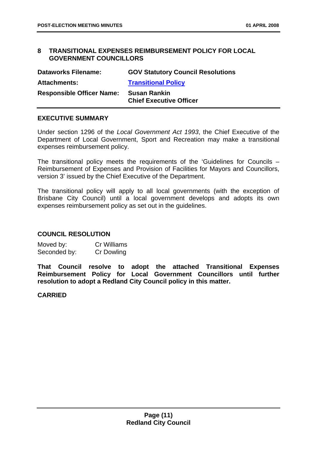#### **8 TRANSITIONAL EXPENSES REIMBURSEMENT POLICY FOR LOCAL GOVERNMENT COUNCILLORS**

| <b>Dataworks Filename:</b>       | <b>GOV Statutory Council Resolutions</b>              |
|----------------------------------|-------------------------------------------------------|
| <b>Attachments:</b>              | <b>Transitional Policy</b>                            |
| <b>Responsible Officer Name:</b> | <b>Susan Rankin</b><br><b>Chief Executive Officer</b> |
|                                  |                                                       |

#### **EXECUTIVE SUMMARY**

Under section 1296 of the *Local Government Act 1993*, the Chief Executive of the Department of Local Government, Sport and Recreation may make a transitional expenses reimbursement policy.

The transitional policy meets the requirements of the 'Guidelines for Councils – Reimbursement of Expenses and Provision of Facilities for Mayors and Councillors, version 3' issued by the Chief Executive of the Department.

The transitional policy will apply to all local governments (with the exception of Brisbane City Council) until a local government develops and adopts its own expenses reimbursement policy as set out in the guidelines.

#### **COUNCIL RESOLUTION**

Moved by: Cr Williams Seconded by: Cr Dowling

**That Council resolve to adopt the attached Transitional Expenses Reimbursement Policy for Local Government Councillors until further resolution to adopt a Redland City Council policy in this matter.**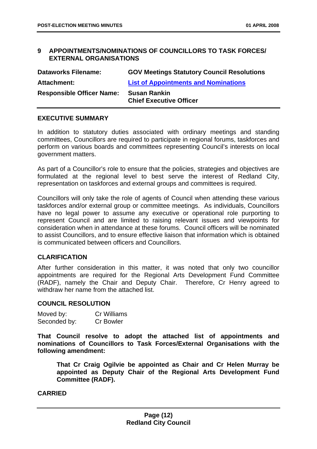#### **9 APPOINTMENTS/NOMINATIONS OF COUNCILLORS TO TASK FORCES/ EXTERNAL ORGANISATIONS**

| <b>Dataworks Filename:</b>       | <b>GOV Meetings Statutory Council Resolutions</b>     |
|----------------------------------|-------------------------------------------------------|
| <b>Attachment:</b>               | <b>List of Appointments and Nominations</b>           |
| <b>Responsible Officer Name:</b> | <b>Susan Rankin</b><br><b>Chief Executive Officer</b> |

#### **EXECUTIVE SUMMARY**

In addition to statutory duties associated with ordinary meetings and standing committees, Councillors are required to participate in regional forums, taskforces and perform on various boards and committees representing Council's interests on local government matters.

As part of a Councillor's role to ensure that the policies, strategies and objectives are formulated at the regional level to best serve the interest of Redland City, representation on taskforces and external groups and committees is required.

Councillors will only take the role of agents of Council when attending these various taskforces and/or external group or committee meetings. As individuals, Councillors have no legal power to assume any executive or operational role purporting to represent Council and are limited to raising relevant issues and viewpoints for consideration when in attendance at these forums. Council officers will be nominated to assist Councillors, and to ensure effective liaison that information which is obtained is communicated between officers and Councillors.

#### **CLARIFICATION**

After further consideration in this matter, it was noted that only two councillor appointments are required for the Regional Arts Development Fund Committee (RADF), namely the Chair and Deputy Chair. Therefore, Cr Henry agreed to withdraw her name from the attached list.

#### **COUNCIL RESOLUTION**

| Moved by:    | Cr Williams |
|--------------|-------------|
| Seconded by: | Cr Bowler   |

**That Council resolve to adopt the attached list of appointments and nominations of Councillors to Task Forces/External Organisations with the following amendment:** 

**That Cr Craig Ogilvie be appointed as Chair and Cr Helen Murray be appointed as Deputy Chair of the Regional Arts Development Fund Committee (RADF).**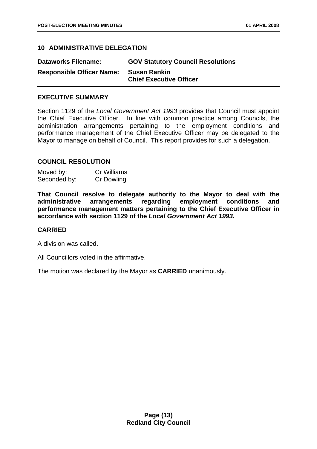#### **10 ADMINISTRATIVE DELEGATION**

| <b>Dataworks Filename:</b>       | <b>GOV Statutory Council Resolutions</b>              |
|----------------------------------|-------------------------------------------------------|
| <b>Responsible Officer Name:</b> | <b>Susan Rankin</b><br><b>Chief Executive Officer</b> |

#### **EXECUTIVE SUMMARY**

Section 1129 of the *Local Government Act 1993* provides that Council must appoint the Chief Executive Officer. In line with common practice among Councils, the administration arrangements pertaining to the employment conditions and performance management of the Chief Executive Officer may be delegated to the Mayor to manage on behalf of Council. This report provides for such a delegation.

#### **COUNCIL RESOLUTION**

| Moved by:    | Cr Williams       |
|--------------|-------------------|
| Seconded by: | <b>Cr Dowling</b> |

**That Council resolve to delegate authority to the Mayor to deal with the administrative arrangements regarding employment conditions and performance management matters pertaining to the Chief Executive Officer in accordance with section 1129 of the** *Local Government Act 1993***.** 

#### **CARRIED**

A division was called.

All Councillors voted in the affirmative.

The motion was declared by the Mayor as **CARRIED** unanimously.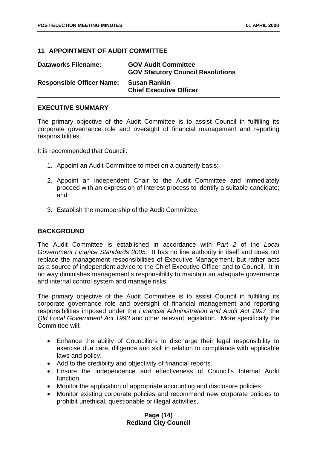#### **11 APPOINTMENT OF AUDIT COMMITTEE**

| <b>Dataworks Filename:</b>       | <b>GOV Audit Committee</b><br><b>GOV Statutory Council Resolutions</b> |
|----------------------------------|------------------------------------------------------------------------|
| <b>Responsible Officer Name:</b> | Susan Rankin<br><b>Chief Executive Officer</b>                         |

#### **EXECUTIVE SUMMARY**

The primary objective of the Audit Committee is to assist Council in fulfilling its corporate governance role and oversight of financial management and reporting responsibilities.

It is recommended that Council:

- 1. Appoint an Audit Committee to meet on a quarterly basis;
- 2. Appoint an independent Chair to the Audit Committee and immediately proceed with an expression of interest process to identify a suitable candidate; and
- 3. Establish the membership of the Audit Committee.

#### **BACKGROUND**

The Audit Committee is established in accordance with *Part 2* of the *Local Government Finance Standards 2005*. It has no line authority in itself and does not replace the management responsibilities of Executive Management, but rather acts as a source of independent advice to the Chief Executive Officer and to Council. It in no way diminishes management's responsibility to maintain an adequate governance and internal control system and manage risks.

The primary objective of the Audit Committee is to assist Council in fulfilling its corporate governance role and oversight of financial management and reporting responsibilities imposed under the *Financial Administration and Audit Act 1997*, the *Qld Local Government Act 1993* and other relevant legislation. More specifically the Committee will:

- Enhance the ability of Councillors to discharge their legal responsibility to exercise due care, diligence and skill in relation to compliance with applicable laws and policy.
- Add to the credibility and objectivity of financial reports.
- Ensure the independence and effectiveness of Council's Internal Audit function.
- Monitor the application of appropriate accounting and disclosure policies.
- Monitor existing corporate policies and recommend new corporate policies to prohibit unethical, questionable or illegal activities.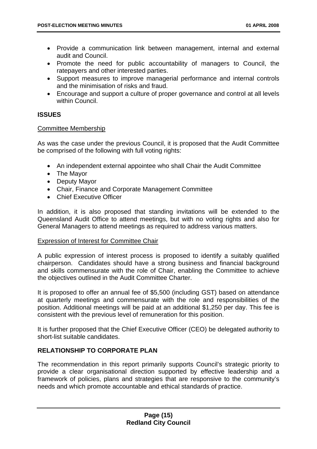- Provide a communication link between management, internal and external audit and Council.
- Promote the need for public accountability of managers to Council, the ratepayers and other interested parties.
- Support measures to improve managerial performance and internal controls and the minimisation of risks and fraud.
- Encourage and support a culture of proper governance and control at all levels within Council.

#### **ISSUES**

#### Committee Membership

As was the case under the previous Council, it is proposed that the Audit Committee be comprised of the following with full voting rights:

- An independent external appointee who shall Chair the Audit Committee
- The Mayor
- Deputy Mayor
- Chair, Finance and Corporate Management Committee
- Chief Executive Officer

In addition, it is also proposed that standing invitations will be extended to the Queensland Audit Office to attend meetings, but with no voting rights and also for General Managers to attend meetings as required to address various matters.

#### Expression of Interest for Committee Chair

A public expression of interest process is proposed to identify a suitably qualified chairperson. Candidates should have a strong business and financial background and skills commensurate with the role of Chair, enabling the Committee to achieve the objectives outlined in the Audit Committee Charter.

It is proposed to offer an annual fee of \$5,500 (including GST) based on attendance at quarterly meetings and commensurate with the role and responsibilities of the position. Additional meetings will be paid at an additional \$1,250 per day. This fee is consistent with the previous level of remuneration for this position.

It is further proposed that the Chief Executive Officer (CEO) be delegated authority to short-list suitable candidates.

#### **RELATIONSHIP TO CORPORATE PLAN**

The recommendation in this report primarily supports Council's strategic priority to provide a clear organisational direction supported by effective leadership and a framework of policies, plans and strategies that are responsive to the community's needs and which promote accountable and ethical standards of practice.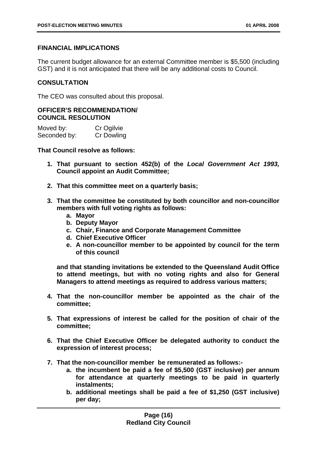#### **FINANCIAL IMPLICATIONS**

The current budget allowance for an external Committee member is \$5,500 (including GST) and it is not anticipated that there will be any additional costs to Council.

#### **CONSULTATION**

The CEO was consulted about this proposal.

#### **OFFICER'S RECOMMENDATION/ COUNCIL RESOLUTION**

| Moved by:    | Cr Ogilvie        |
|--------------|-------------------|
| Seconded by: | <b>Cr Dowling</b> |

#### **That Council resolve as follows:**

- **1. That pursuant to section 452(b) of the** *Local Government Act 1993,*  **Council appoint an Audit Committee;**
- **2. That this committee meet on a quarterly basis;**
- **3. That the committee be constituted by both councillor and non-councillor members with full voting rights as follows:** 
	- **a. Mayor**
	- **b. Deputy Mayor**
	- **c. Chair, Finance and Corporate Management Committee**
	- **d. Chief Executive Officer**
	- **e. A non-councillor member to be appointed by council for the term of this council**

**and that standing invitations be extended to the Queensland Audit Office to attend meetings, but with no voting rights and also for General Managers to attend meetings as required to address various matters;** 

- **4. That the non-councillor member be appointed as the chair of the committee;**
- **5. That expressions of interest be called for the position of chair of the committee;**
- **6. That the Chief Executive Officer be delegated authority to conduct the expression of interest process;**
- **7. That the non-councillor member be remunerated as follows:** 
	- **a. the incumbent be paid a fee of \$5,500 (GST inclusive) per annum for attendance at quarterly meetings to be paid in quarterly instalments;**
	- **b. additional meetings shall be paid a fee of \$1,250 (GST inclusive) per day;**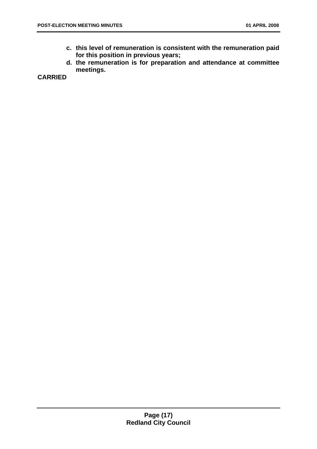- **c. this level of remuneration is consistent with the remuneration paid for this position in previous years;**
- **d. the remuneration is for preparation and attendance at committee meetings.**